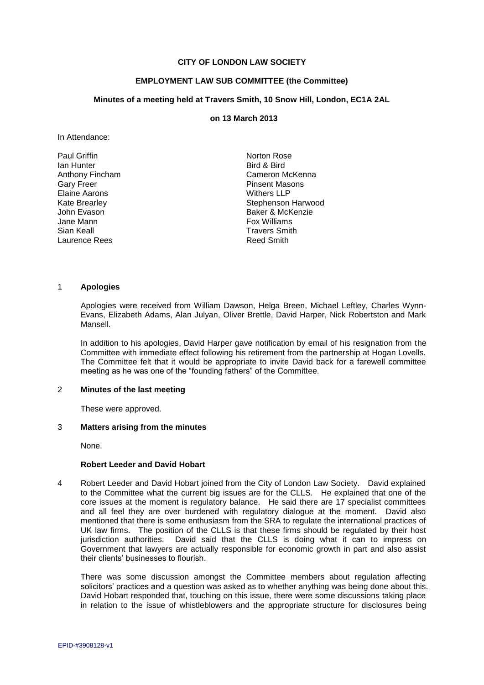## **CITY OF LONDON LAW SOCIETY**

# **EMPLOYMENT LAW SUB COMMITTEE (the Committee)**

## **Minutes of a meeting held at Travers Smith, 10 Snow Hill, London, EC1A 2AL**

## **on 13 March 2013**

In Attendance:

- Paul Griffin Norton Rose Anthony Fincham<br>Garv Freer Elaine Aarons **Elaine Aarons** Withers LLP<br>
Kate Brearley **Mate Stephenson** Jane Mann **Fox Williams** Sian Keall **Sian Keall** Sian Keall **Travers** Smith Laurence Rees **Reed Smith**
- Ian Hunter Bird & Bird Pinsent Masons Kate Brearley<br>
John Evason<br>
John Evason<br>
Stephenson Baker & McKenzie Baker & McKenzie

#### 1 **Apologies**

Apologies were received from William Dawson, Helga Breen, Michael Leftley, Charles Wynn-Evans, Elizabeth Adams, Alan Julyan, Oliver Brettle, David Harper, Nick Robertston and Mark Mansell.

In addition to his apologies, David Harper gave notification by email of his resignation from the Committee with immediate effect following his retirement from the partnership at Hogan Lovells. The Committee felt that it would be appropriate to invite David back for a farewell committee meeting as he was one of the "founding fathers" of the Committee.

## 2 **Minutes of the last meeting**

These were approved.

#### 3 **Matters arising from the minutes**

None.

#### **Robert Leeder and David Hobart**

4 Robert Leeder and David Hobart joined from the City of London Law Society. David explained to the Committee what the current big issues are for the CLLS. He explained that one of the core issues at the moment is regulatory balance. He said there are 17 specialist committees and all feel they are over burdened with regulatory dialogue at the moment. David also mentioned that there is some enthusiasm from the SRA to regulate the international practices of UK law firms. The position of the CLLS is that these firms should be regulated by their host jurisdiction authorities. David said that the CLLS is doing what it can to impress on Government that lawyers are actually responsible for economic growth in part and also assist their clients' businesses to flourish.

There was some discussion amongst the Committee members about regulation affecting solicitors' practices and a question was asked as to whether anything was being done about this. David Hobart responded that, touching on this issue, there were some discussions taking place in relation to the issue of whistleblowers and the appropriate structure for disclosures being